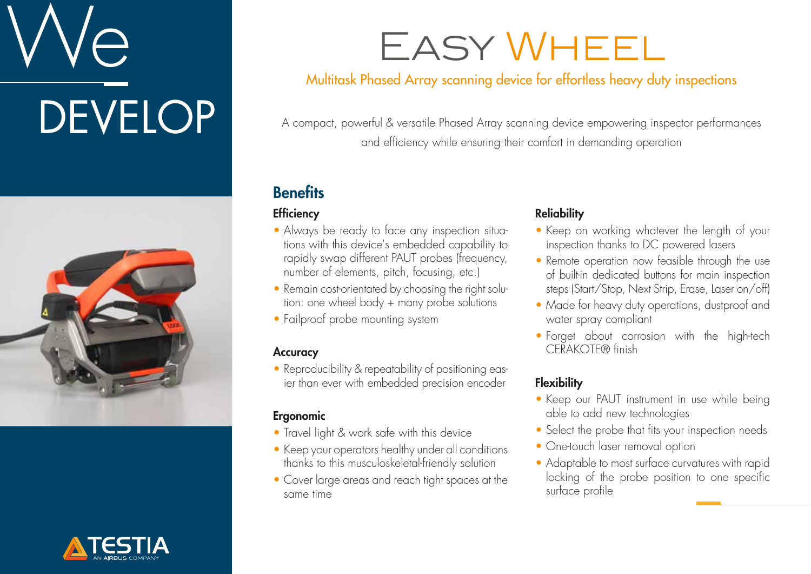# **DEVELOP**





### Easy Wheel

#### Multitask Phased Array scanning device for effortless heavy duty inspections

A compact, powerful & versatile Phased Array scanning device empowering inspector performances and efficiency while ensuring their comfort in demanding operation

#### **Benefits**

#### **Efficiency**

- Always be ready to face any inspection situations with this device's embedded capability to rapidly swap different PAUT probes (frequency, number of elements, pitch, focusing, etc.)
- Remain cost-orientated by choosing the right solution: one wheel body + many probe solutions
- Failproof probe mounting system

#### Accuracy

• Reproducibility & repeatability of positioning easier than ever with embedded precision encoder

#### **Ergonomic**

- Travel light & work safe with this device
- Keep your operators healthy under all conditions thanks to this musculoskeletal-friendly solution
- Cover large areas and reach tight spaces at the same time

#### **Reliability**

- Keep on working whatever the length of your inspection thanks to DC powered lasers
- Remote operation now feasible through the use of built-in dedicated buttons for main inspection steps (Start/Stop, Next Strip, Erase, Laser on/off)
- Made for heavy duty operations, dustproof and water spray compliant
- Forget about corrosion with the high-tech CERAKOTE® finish

#### **Flexibility**

- Keep our PAUT instrument in use while being able to add new technologies
- Select the probe that fits your inspection needs
- One-touch laser removal option
- Adaptable to most surface curvatures with rapid locking of the probe position to one specific surface profile